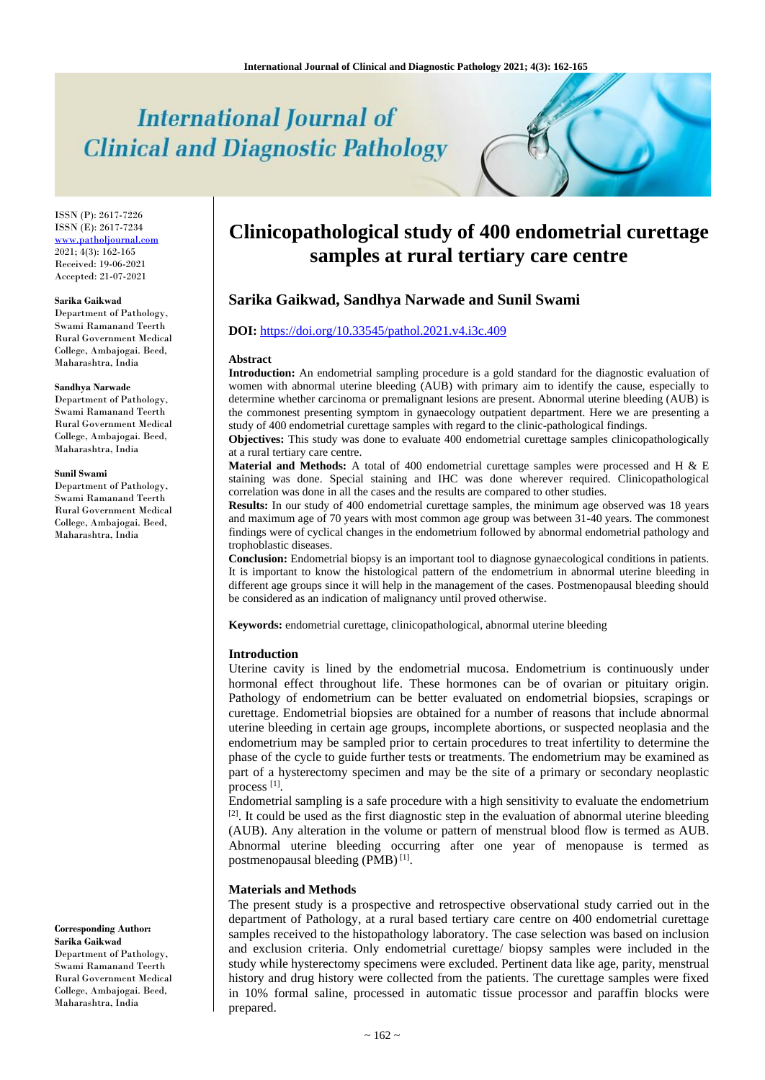# **International Journal of Clinical and Diagnostic Pathology**

ISSN (P): 2617-7226 ISSN (E): 2617-7234 [www.patholjournal.com](http://www.patholjournal.com/) 2021; 4(3): 162-165 Received: 19-06-2021 Accepted: 21-07-2021

#### **Sarika Gaikwad**

Department of Pathology, Swami Ramanand Teerth Rural Government Medical College, Ambajogai. Beed, Maharashtra, India

#### **Sandhya Narwade**

Department of Pathology, Swami Ramanand Teerth Rural Government Medical College, Ambajogai. Beed, Maharashtra, India

#### **Sunil Swami**

Department of Pathology, Swami Ramanand Teerth Rural Government Medical College, Ambajogai. Beed, Maharashtra, India

**Corresponding Author: Sarika Gaikwad** Department of Pathology, Swami Ramanand Teerth Rural Government Medical College, Ambajogai. Beed, Maharashtra, India

# **Clinicopathological study of 400 endometrial curettage samples at rural tertiary care centre**

# **Sarika Gaikwad, Sandhya Narwade and Sunil Swami**

#### **DOI:** <https://doi.org/10.33545/pathol.2021.v4.i3c.409>

#### **Abstract**

**Introduction:** An endometrial sampling procedure is a gold standard for the diagnostic evaluation of women with abnormal uterine bleeding (AUB) with primary aim to identify the cause, especially to determine whether carcinoma or premalignant lesions are present. Abnormal uterine bleeding (AUB) is the commonest presenting symptom in gynaecology outpatient department. Here we are presenting a study of 400 endometrial curettage samples with regard to the clinic-pathological findings.

**Objectives:** This study was done to evaluate 400 endometrial curettage samples clinicopathologically at a rural tertiary care centre.

**Material and Methods:** A total of 400 endometrial curettage samples were processed and H & E staining was done. Special staining and IHC was done wherever required. Clinicopathological correlation was done in all the cases and the results are compared to other studies.

**Results:** In our study of 400 endometrial curettage samples, the minimum age observed was 18 years and maximum age of 70 years with most common age group was between 31-40 years. The commonest findings were of cyclical changes in the endometrium followed by abnormal endometrial pathology and trophoblastic diseases.

**Conclusion:** Endometrial biopsy is an important tool to diagnose gynaecological conditions in patients. It is important to know the histological pattern of the endometrium in abnormal uterine bleeding in different age groups since it will help in the management of the cases. Postmenopausal bleeding should be considered as an indication of malignancy until proved otherwise.

**Keywords:** endometrial curettage, clinicopathological, abnormal uterine bleeding

#### **Introduction**

Uterine cavity is lined by the endometrial mucosa. Endometrium is continuously under hormonal effect throughout life. These hormones can be of ovarian or pituitary origin. Pathology of endometrium can be better evaluated on endometrial biopsies, scrapings or curettage. Endometrial biopsies are obtained for a number of reasons that include abnormal uterine bleeding in certain age groups, incomplete abortions, or suspected neoplasia and the endometrium may be sampled prior to certain procedures to treat infertility to determine the phase of the cycle to guide further tests or treatments. The endometrium may be examined as part of a hysterectomy specimen and may be the site of a primary or secondary neoplastic process<sup>[1]</sup>.

Endometrial sampling is a safe procedure with a high sensitivity to evaluate the endometrium  $[2]$ . It could be used as the first diagnostic step in the evaluation of abnormal uterine bleeding (AUB). Any alteration in the volume or pattern of menstrual blood flow is termed as AUB. Abnormal uterine bleeding occurring after one year of menopause is termed as postmenopausal bleeding (PMB)<sup>[1]</sup>.

#### **Materials and Methods**

The present study is a prospective and retrospective observational study carried out in the department of Pathology, at a rural based tertiary care centre on 400 endometrial curettage samples received to the histopathology laboratory. The case selection was based on inclusion and exclusion criteria. Only endometrial curettage/ biopsy samples were included in the study while hysterectomy specimens were excluded. Pertinent data like age, parity, menstrual history and drug history were collected from the patients. The curettage samples were fixed in 10% formal saline, processed in automatic tissue processor and paraffin blocks were prepared.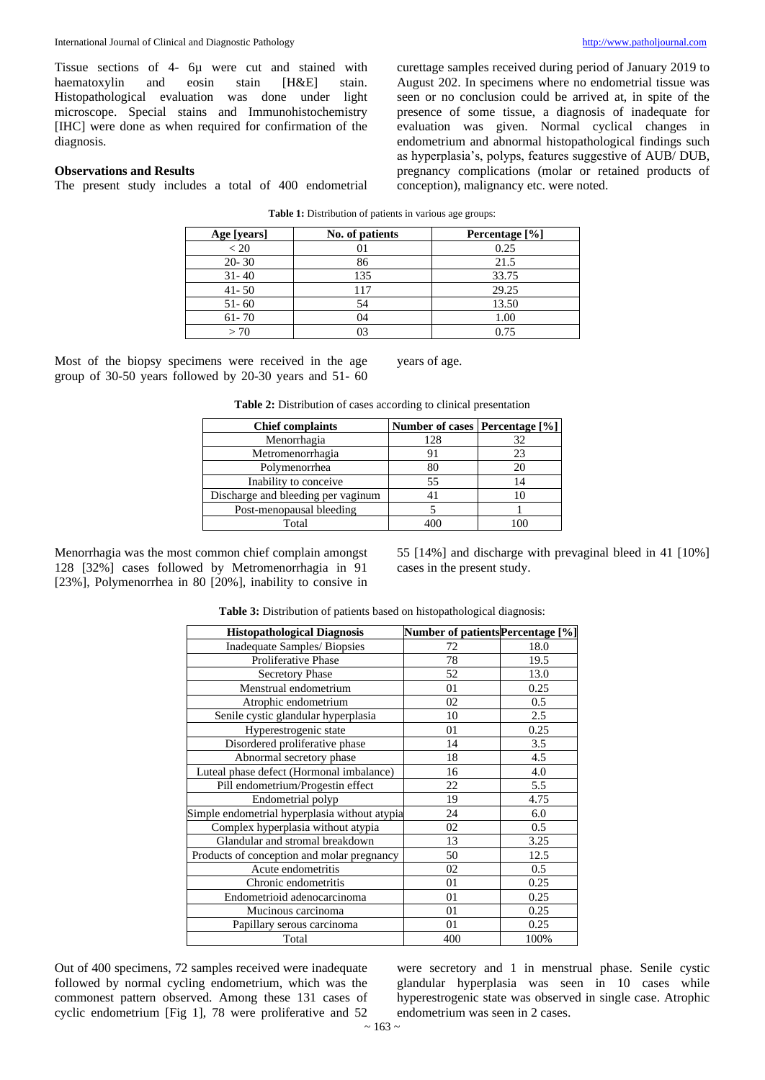Tissue sections of 4- 6µ were cut and stained with haematoxylin and eosin stain [H&E] stain. Histopathological evaluation was done under light microscope. Special stains and Immunohistochemistry [IHC] were done as when required for confirmation of the diagnosis.

curettage samples received during period of January 2019 to August 202. In specimens where no endometrial tissue was seen or no conclusion could be arrived at, in spite of the presence of some tissue, a diagnosis of inadequate for evaluation was given. Normal cyclical changes in endometrium and abnormal histopathological findings such as hyperplasia's, polyps, features suggestive of AUB/ DUB, pregnancy complications (molar or retained products of conception), malignancy etc. were noted.

#### **Observations and Results**

The present study includes a total of 400 endometrial

| Age [years] | No. of patients | Percentage [%] |
|-------------|-----------------|----------------|
| < 20        |                 | 0.25           |
| $20 - 30$   | 86              | 21.5           |
| $31 - 40$   | 135             | 33.75          |
| $41 - 50$   | 117             | 29.25          |
| $51 - 60$   | 54              | 13.50          |
| $61 - 70$   |                 | 1.00           |
| > 70        |                 | 0.75           |

Table 1: Distribution of patients in various age groups:

Most of the biopsy specimens were received in the age group of 30-50 years followed by 20-30 years and 51- 60

years of age.

| <b>Table 2:</b> Distribution of cases according to clinical presentation |  |  |
|--------------------------------------------------------------------------|--|--|
|--------------------------------------------------------------------------|--|--|

| <b>Chief complaints</b>            | Number of cases   Percentage [%] |    |  |
|------------------------------------|----------------------------------|----|--|
| Menorrhagia                        | 128                              | 32 |  |
| Metromenorrhagia                   |                                  | 23 |  |
| Polymenorrhea                      | 80                               |    |  |
| Inability to conceive              | 55                               | 14 |  |
| Discharge and bleeding per vaginum |                                  |    |  |
| Post-menopausal bleeding           |                                  |    |  |
| Total                              |                                  |    |  |

Menorrhagia was the most common chief complain amongst 128 [32%] cases followed by Metromenorrhagia in 91 [23%], Polymenorrhea in 80 [20%], inability to consive in

55 [14%] and discharge with prevaginal bleed in 41 [10%] cases in the present study.

| <b>Histopathological Diagnosis</b>            | Number of patients Percentage [%] |      |
|-----------------------------------------------|-----------------------------------|------|
| Inadequate Samples/ Biopsies                  | 72                                | 18.0 |
| <b>Proliferative Phase</b>                    | 78                                | 19.5 |
| <b>Secretory Phase</b>                        | 52                                | 13.0 |
| Menstrual endometrium                         | 01                                | 0.25 |
| Atrophic endometrium                          | 02                                | 0.5  |
| Senile cystic glandular hyperplasia           | 10                                | 2.5  |
| Hyperestrogenic state                         | 01                                | 0.25 |
| Disordered proliferative phase                | 14                                | 3.5  |
| Abnormal secretory phase                      | 18                                | 4.5  |
| Luteal phase defect (Hormonal imbalance)      | 16                                | 4.0  |
| Pill endometrium/Progestin effect             | 22                                | 5.5  |
| Endometrial polyp                             | 19                                | 4.75 |
| Simple endometrial hyperplasia without atypia | 24                                | 6.0  |
| Complex hyperplasia without atypia            | 02                                | 0.5  |
| Glandular and stromal breakdown               | 13                                | 3.25 |
| Products of conception and molar pregnancy    | 50                                | 12.5 |
| Acute endometritis                            | 02                                | 0.5  |
| Chronic endometritis                          | 01                                | 0.25 |
| Endometrioid adenocarcinoma                   | 01                                | 0.25 |
| Mucinous carcinoma                            | 01                                | 0.25 |
| Papillary serous carcinoma                    | 01                                | 0.25 |
| Total                                         | 400                               | 100% |

**Table 3:** Distribution of patients based on histopathological diagnosis:

Out of 400 specimens, 72 samples received were inadequate followed by normal cycling endometrium, which was the commonest pattern observed. Among these 131 cases of cyclic endometrium [Fig 1], 78 were proliferative and 52

were secretory and 1 in menstrual phase. Senile cystic glandular hyperplasia was seen in 10 cases while hyperestrogenic state was observed in single case. Atrophic endometrium was seen in 2 cases.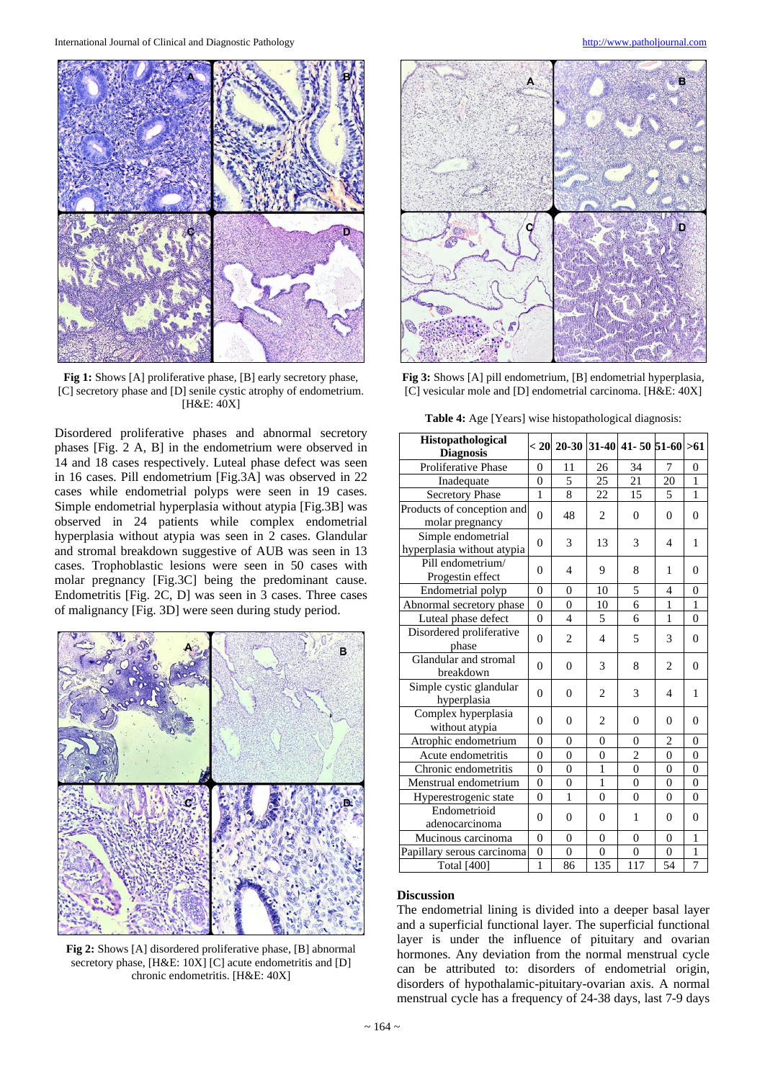

**Fig 1:** Shows [A] proliferative phase, [B] early secretory phase, [C] secretory phase and [D] senile cystic atrophy of endometrium. [H&E: 40X]

Disordered proliferative phases and abnormal secretory phases [Fig. 2 A, B] in the endometrium were observed in 14 and 18 cases respectively. Luteal phase defect was seen in 16 cases. Pill endometrium [Fig.3A] was observed in 22 cases while endometrial polyps were seen in 19 cases. Simple endometrial hyperplasia without atypia [Fig.3B] was observed in 24 patients while complex endometrial hyperplasia without atypia was seen in 2 cases. Glandular and stromal breakdown suggestive of AUB was seen in 13 cases. Trophoblastic lesions were seen in 50 cases with molar pregnancy [Fig.3C] being the predominant cause. Endometritis [Fig. 2C, D] was seen in 3 cases. Three cases of malignancy [Fig. 3D] were seen during study period.



**Fig 2:** Shows [A] disordered proliferative phase, [B] abnormal secretory phase, [H&E: 10X] [C] acute endometritis and [D] chronic endometritis. [H&E: 40X]



**Fig 3:** Shows [A] pill endometrium, [B] endometrial hyperplasia, [C] vesicular mole and [D] endometrial carcinoma. [H&E: 40X]

**Table 4:** Age [Years] wise histopathological diagnosis:

| <b>Histopathological</b><br><b>Diagnosis</b>     |                |                |                          | < 20  20-30  31-40  41- 50  51-60  >61 |                          |                |
|--------------------------------------------------|----------------|----------------|--------------------------|----------------------------------------|--------------------------|----------------|
| <b>Proliferative Phase</b>                       | $\Omega$       | 11             | 26                       | 34                                     | 7                        | $\Omega$       |
| Inadequate                                       | $\theta$       | 5              | 25                       | 21                                     | 20                       | $\mathbf{1}$   |
| Secretory Phase                                  | $\mathbf{1}$   | 8              | 22                       | 15                                     | 5                        | $\mathbf{1}$   |
| Products of conception and<br>molar pregnancy    |                | 48             | $\overline{c}$           | $\Omega$                               | $\theta$                 | $\theta$       |
| Simple endometrial<br>hyperplasia without atypia |                | 3              | 13                       | 3                                      | 4                        | 1              |
| Pill endometrium/<br>Progestin effect            |                | 4              | 9                        | 8                                      | 1                        | $\Omega$       |
| Endometrial polyp                                | $\theta$       | $\theta$       | 10                       | 5                                      | $\overline{4}$           | $\theta$       |
| Abnormal secretory phase                         |                | $\theta$       | 10                       | 6                                      | $\mathbf{1}$             | $\mathbf{1}$   |
| Luteal phase defect                              | $\overline{0}$ | $\overline{4}$ | 5                        | 6                                      | 1                        | $\overline{0}$ |
| Disordered proliferative<br>phase                | $\theta$       | $\overline{2}$ | $\overline{\mathcal{L}}$ | 5                                      | 3                        | $\theta$       |
| Glandular and stromal<br>breakdown               |                | $\theta$       | 3                        | 8                                      | $\overline{c}$           | $\theta$       |
| Simple cystic glandular<br>hyperplasia           | $\theta$       | $\Omega$       | 2                        | 3                                      | $\overline{\mathcal{L}}$ | 1              |
| Complex hyperplasia<br>without atypia            |                | $\Omega$       | 2                        | $\theta$                               | $\theta$                 | $\theta$       |
| Atrophic endometrium                             |                | $\theta$       | $\theta$                 | $\theta$                               | $\overline{2}$           | $\theta$       |
| Acute endometritis                               |                | $\theta$       | $\theta$                 | $\overline{c}$                         | $\theta$                 | $\overline{0}$ |
| Chronic endometritis                             |                | $\theta$       | $\mathbf{1}$             | $\theta$                               | $\theta$                 | $\overline{0}$ |
| Menstrual endometrium                            |                | $\overline{0}$ | $\mathbf{1}$             | $\theta$                               | $\theta$                 | $\overline{0}$ |
| Hyperestrogenic state                            | $\overline{0}$ | $\mathbf{1}$   | $\theta$                 | $\theta$                               | $\theta$                 | $\overline{0}$ |
| Endometrioid<br>adenocarcinoma                   |                | $\Omega$       | $\theta$                 | 1                                      | $\Omega$                 | $\theta$       |
| Mucinous carcinoma                               |                | $\theta$       | $\theta$                 | $\overline{0}$                         | $\overline{0}$           | 1              |
| Papillary serous carcinoma                       | $\overline{0}$ | $\theta$       | $\theta$                 | $\theta$                               | $\theta$                 | 1              |
| <b>Total</b> [400]                               | $\mathbf{1}$   | 86             | 135                      | 117                                    | 54                       | 7              |

#### **Discussion**

The endometrial lining is divided into a deeper basal layer and a superficial functional layer. The superficial functional layer is under the influence of pituitary and ovarian hormones. Any deviation from the normal menstrual cycle can be attributed to: disorders of endometrial origin, disorders of hypothalamic-pituitary-ovarian axis. A normal menstrual cycle has a frequency of 24-38 days, last 7-9 days